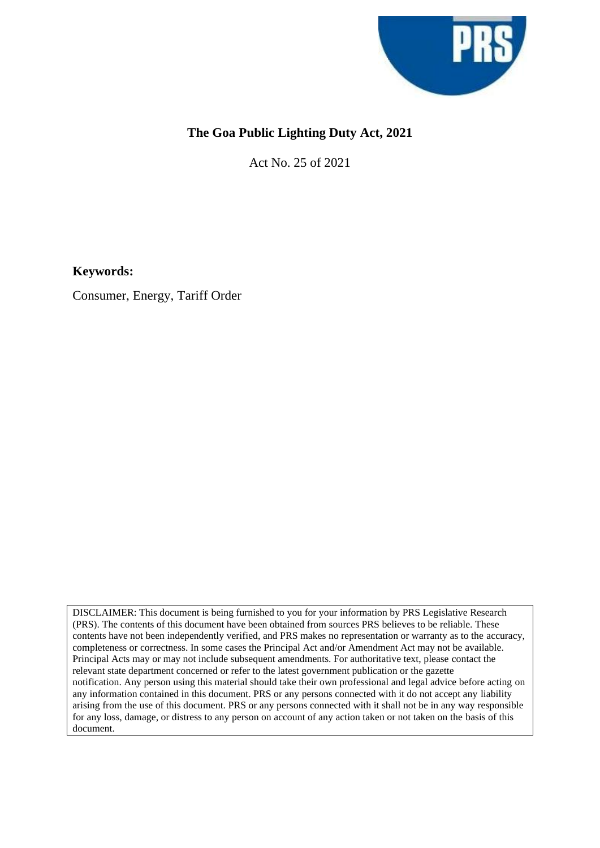

## **The Goa Public Lighting Duty Act, 2021**

Act No. 25 of 2021

**Keywords:**

Consumer, Energy, Tariff Order

DISCLAIMER: This document is being furnished to you for your information by PRS Legislative Research (PRS). The contents of this document have been obtained from sources PRS believes to be reliable. These contents have not been independently verified, and PRS makes no representation or warranty as to the accuracy, completeness or correctness. In some cases the Principal Act and/or Amendment Act may not be available. Principal Acts may or may not include subsequent amendments. For authoritative text, please contact the relevant state department concerned or refer to the latest government publication or the gazette notification. Any person using this material should take their own professional and legal advice before acting on any information contained in this document. PRS or any persons connected with it do not accept any liability arising from the use of this document. PRS or any persons connected with it shall not be in any way responsible for any loss, damage, or distress to any person on account of any action taken or not taken on the basis of this document.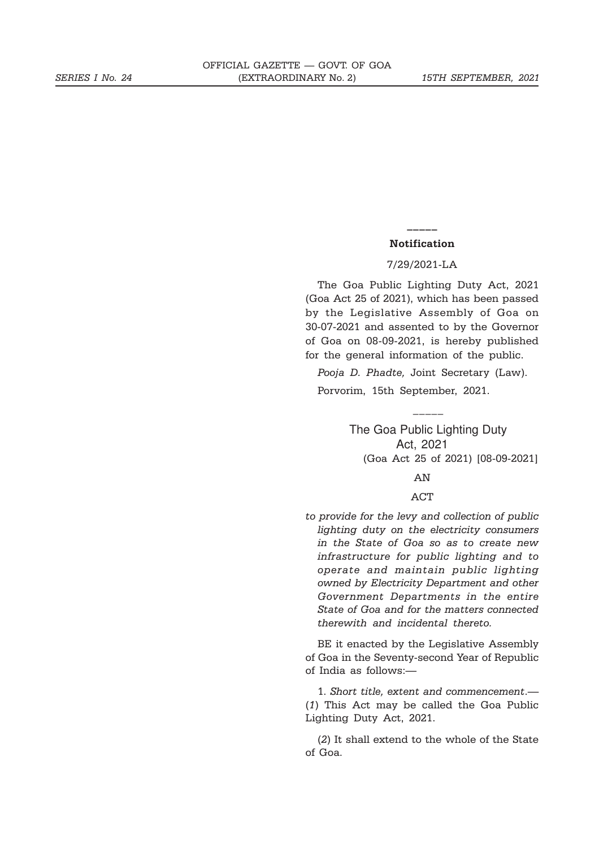## **\_\_\_\_\_ Notification**

## 7/29/2021-LA

The Goa Public Lighting Duty Act, 2021 (Goa Act 25 of 2021), which has been passed by the Legislative Assembly of Goa on 30-07-2021 and assented to by the Governor of Goa on 08-09-2021, is hereby published for the general information of the public.

*Pooja D. Phadte,* Joint Secretary (Law). Porvorim, 15th September, 2021.

 $\overline{\phantom{a}}$ 

The Goa Public Lighting Duty Act, 2021 (Goa Act 25 of 2021) [08-09-2021]

AN

## ACT

*to provide for the levy and collection of public lighting duty on the electricity consumers in the State of Goa so as to create new infrastructure for public lighting and to operate and maintain public lighting owned by Electricity Department and other Government Departments in the entire State of Goa and for the matters connected therewith and incidental thereto.*

BE it enacted by the Legislative Assembly of Goa in the Seventy-second Year of Republic of India as follows:—

1. *Short title, extent and commencement*.— (*1*) This Act may be called the Goa Public Lighting Duty Act, 2021.

(*2*) It shall extend to the whole of the State of Goa.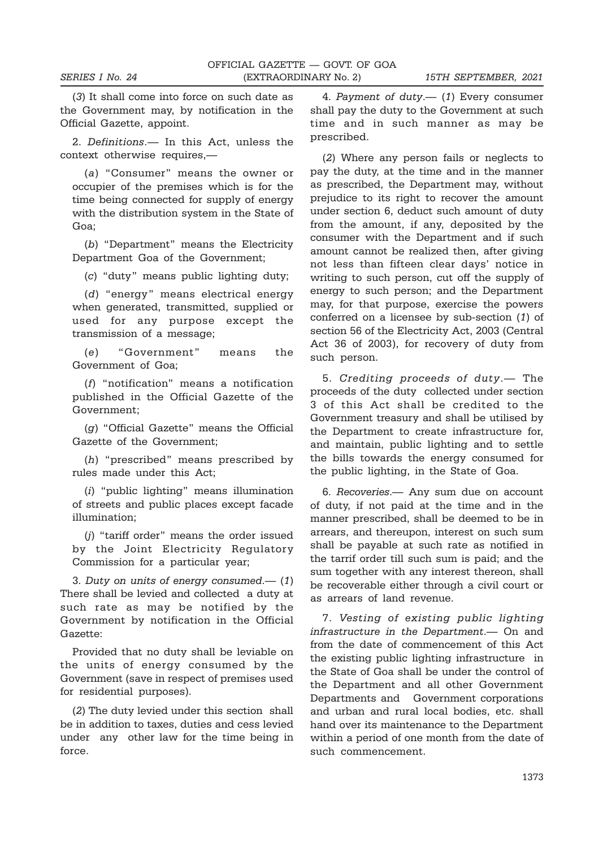(*3*) It shall come into force on such date as the Government may, by notification in the Official Gazette, appoint.

2. *Definitions*.— In this Act, unless the context otherwise requires,—

(*a*) "Consumer" means the owner or occupier of the premises which is for the time being connected for supply of energy with the distribution system in the State of Goa;

(*b*) "Department" means the Electricity Department Goa of the Government;

(*c*) "duty" means public lighting duty;

(*d*) "energy" means electrical energy when generated, transmitted, supplied or used for any purpose except the transmission of a message;

(*e*) "Government" means the Government of Goa;

(*f*) "notification" means a notification published in the Official Gazette of the Government;

(*g*) "Official Gazette" means the Official Gazette of the Government;

(*h*) "prescribed" means prescribed by rules made under this Act;

(*i*) "public lighting" means illumination of streets and public places except facade illumination;

(*j*) "tariff order" means the order issued by the Joint Electricity Regulatory Commission for a particular year;

3. *Duty on units of energy consumed*.— (*1*) There shall be levied and collected a duty at such rate as may be notified by the Government by notification in the Official Gazette:

Provided that no duty shall be leviable on the units of energy consumed by the Government (save in respect of premises used for residential purposes).

(*2*) The duty levied under this section shall be in addition to taxes, duties and cess levied under any other law for the time being in force.

4. *Payment of duty*.— (*1*) Every consumer shall pay the duty to the Government at such time and in such manner as may be prescribed.

(*2*) Where any person fails or neglects to pay the duty, at the time and in the manner as prescribed, the Department may, without prejudice to its right to recover the amount under section 6, deduct such amount of duty from the amount, if any, deposited by the consumer with the Department and if such amount cannot be realized then, after giving not less than fifteen clear days' notice in writing to such person, cut off the supply of energy to such person; and the Department may, for that purpose, exercise the powers conferred on a licensee by sub-section (*1*) of section 56 of the Electricity Act, 2003 (Central Act 36 of 2003), for recovery of duty from such person.

5. *Crediting proceeds of duty*.— The proceeds of the duty collected under section 3 of this Act shall be credited to the Government treasury and shall be utilised by the Department to create infrastructure for, and maintain, public lighting and to settle the bills towards the energy consumed for the public lighting, in the State of Goa.

6. *Recoveries*.— Any sum due on account of duty, if not paid at the time and in the manner prescribed, shall be deemed to be in arrears, and thereupon, interest on such sum shall be payable at such rate as notified in the tarrif order till such sum is paid; and the sum together with any interest thereon, shall be recoverable either through a civil court or as arrears of land revenue.

7. *Vesting of existing public lighting infrastructure in the Department*.— On and from the date of commencement of this Act the existing public lighting infrastructure in the State of Goa shall be under the control of the Department and all other Government Departments and Government corporations and urban and rural local bodies, etc. shall hand over its maintenance to the Department within a period of one month from the date of such commencement.